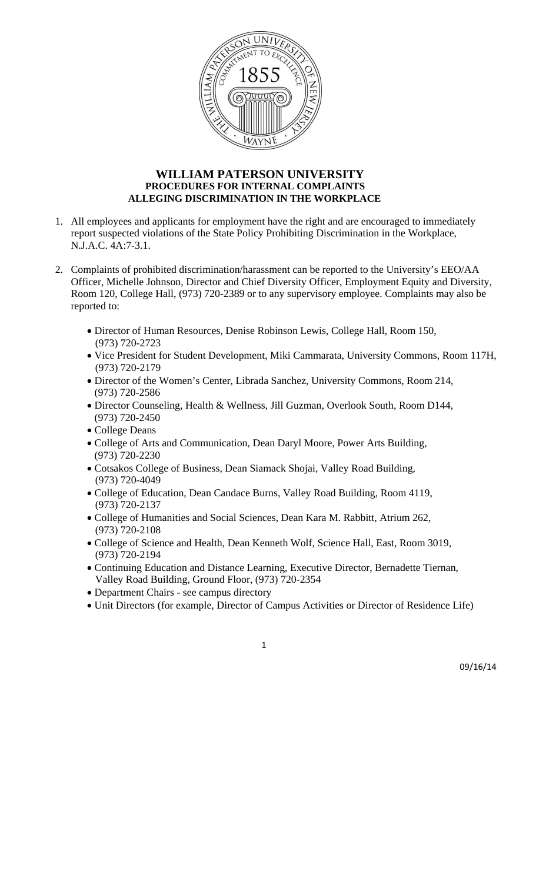

## **WILLIAM PATERSON UNIVERSITY PROCEDURES FOR INTERNAL COMPLAINTS ALLEGING DISCRIMINATION IN THE WORKPLACE**

- 1. All employees and applicants for employment have the right and are encouraged to immediately report suspected violations of the State Policy Prohibiting Discrimination in the Workplace, N.J.A.C. 4A:7-3.1.
- 2. Complaints of prohibited discrimination/harassment can be reported to the University's EEO/AA Officer, Michelle Johnson, Director and Chief Diversity Officer, Employment Equity and Diversity, Room 120, College Hall, (973) 720-2389 or to any supervisory employee. Complaints may also be reported to:
	- Director of Human Resources, Denise Robinson Lewis, College Hall, Room 150, (973) 720-2723
	- Vice President for Student Development, Miki Cammarata, University Commons, Room 117H, (973) 720-2179
	- Director of the Women's Center, Librada Sanchez, University Commons, Room 214, (973) 720-2586
	- Director Counseling, Health & Wellness, Jill Guzman, Overlook South, Room D144, (973) 720-2450
	- College Deans
	- College of Arts and Communication, Dean Daryl Moore, Power Arts Building, (973) 720-2230
	- Cotsakos College of Business, Dean Siamack Shojai, Valley Road Building, (973) 720-4049
	- College of Education, Dean Candace Burns, Valley Road Building, Room 4119, (973) 720-2137
	- College of Humanities and Social Sciences, Dean Kara M. Rabbitt, Atrium 262, (973) 720-2108
	- College of Science and Health, Dean Kenneth Wolf, Science Hall, East, Room 3019, (973) 720-2194
	- Continuing Education and Distance Learning, Executive Director, Bernadette Tiernan, Valley Road Building, Ground Floor, (973) 720-2354
	- Department Chairs see campus directory
	- Unit Directors (for example, Director of Campus Activities or Director of Residence Life)

1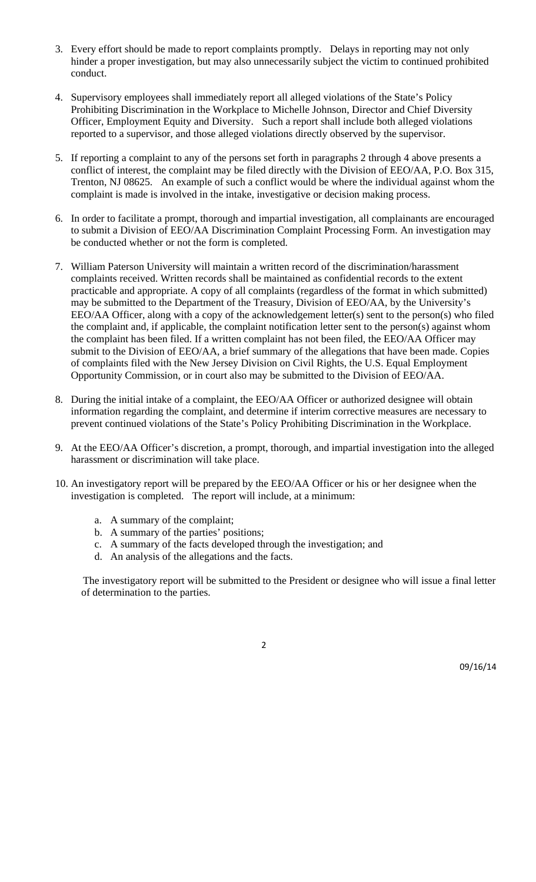- 3. Every effort should be made to report complaints promptly. Delays in reporting may not only hinder a proper investigation, but may also unnecessarily subject the victim to continued prohibited conduct.
- 4. Supervisory employees shall immediately report all alleged violations of the State's Policy Prohibiting Discrimination in the Workplace to Michelle Johnson, Director and Chief Diversity Officer, Employment Equity and Diversity. Such a report shall include both alleged violations reported to a supervisor, and those alleged violations directly observed by the supervisor.
- 5. If reporting a complaint to any of the persons set forth in paragraphs 2 through 4 above presents a conflict of interest, the complaint may be filed directly with the Division of EEO/AA, P.O. Box 315, Trenton, NJ 08625. An example of such a conflict would be where the individual against whom the complaint is made is involved in the intake, investigative or decision making process.
- 6. In order to facilitate a prompt, thorough and impartial investigation, all complainants are encouraged to submit a Division of EEO/AA Discrimination Complaint Processing Form. An investigation may be conducted whether or not the form is completed.
- 7. William Paterson University will maintain a written record of the discrimination/harassment complaints received. Written records shall be maintained as confidential records to the extent practicable and appropriate. A copy of all complaints (regardless of the format in which submitted) may be submitted to the Department of the Treasury, Division of EEO/AA, by the University's EEO/AA Officer, along with a copy of the acknowledgement letter(s) sent to the person(s) who filed the complaint and, if applicable, the complaint notification letter sent to the person(s) against whom the complaint has been filed. If a written complaint has not been filed, the EEO/AA Officer may submit to the Division of EEO/AA, a brief summary of the allegations that have been made. Copies of complaints filed with the New Jersey Division on Civil Rights, the U.S. Equal Employment Opportunity Commission, or in court also may be submitted to the Division of EEO/AA.
- 8. During the initial intake of a complaint, the EEO/AA Officer or authorized designee will obtain information regarding the complaint, and determine if interim corrective measures are necessary to prevent continued violations of the State's Policy Prohibiting Discrimination in the Workplace.
- 9. At the EEO/AA Officer's discretion, a prompt, thorough, and impartial investigation into the alleged harassment or discrimination will take place.
- 10. An investigatory report will be prepared by the EEO/AA Officer or his or her designee when the investigation is completed. The report will include, at a minimum:
	- a. A summary of the complaint;
	- b. A summary of the parties' positions;
	- c. A summary of the facts developed through the investigation; and
	- d. An analysis of the allegations and the facts.

 The investigatory report will be submitted to the President or designee who will issue a final letter of determination to the parties.

2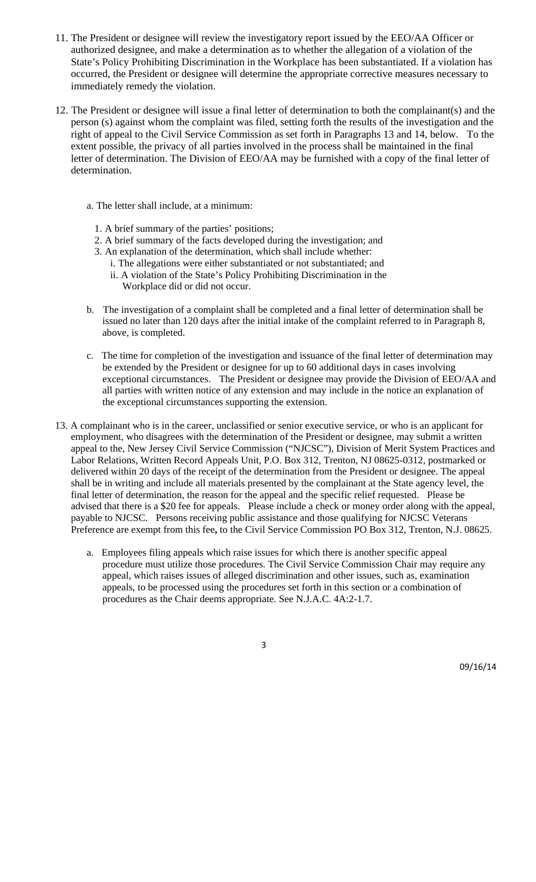- 11. The President or designee will review the investigatory report issued by the EEO/AA Officer or authorized designee, and make a determination as to whether the allegation of a violation of the State's Policy Prohibiting Discrimination in the Workplace has been substantiated. If a violation has occurred, the President or designee will determine the appropriate corrective measures necessary to immediately remedy the violation.
- 12. The President or designee will issue a final letter of determination to both the complainant(s) and the person (s) against whom the complaint was filed, setting forth the results of the investigation and the right of appeal to the Civil Service Commission as set forth in Paragraphs 13 and 14, below. To the extent possible, the privacy of all parties involved in the process shall be maintained in the final letter of determination. The Division of EEO/AA may be furnished with a copy of the final letter of determination.
	- a. The letter shall include, at a minimum:
		- 1. A brief summary of the parties' positions;
		- 2. A brief summary of the facts developed during the investigation; and
		- 3. An explanation of the determination, which shall include whether:
			- i. The allegations were either substantiated or not substantiated; and ii. A violation of the State's Policy Prohibiting Discrimination in the Workplace did or did not occur.
	- b. The investigation of a complaint shall be completed and a final letter of determination shall be issued no later than 120 days after the initial intake of the complaint referred to in Paragraph 8, above, is completed.
	- c. The time for completion of the investigation and issuance of the final letter of determination may be extended by the President or designee for up to 60 additional days in cases involving exceptional circumstances. The President or designee may provide the Division of EEO/AA and all parties with written notice of any extension and may include in the notice an explanation of the exceptional circumstances supporting the extension.
- 13. A complainant who is in the career, unclassified or senior executive service, or who is an applicant for employment, who disagrees with the determination of the President or designee, may submit a written appeal to the, New Jersey Civil Service Commission ("NJCSC"), Division of Merit System Practices and Labor Relations, Written Record Appeals Unit, P.O. Box 312, Trenton, NJ 08625-0312, postmarked or delivered within 20 days of the receipt of the determination from the President or designee. The appeal shall be in writing and include all materials presented by the complainant at the State agency level, the final letter of determination, the reason for the appeal and the specific relief requested. Please be advised that there is a \$20 fee for appeals. Please include a check or money order along with the appeal, payable to NJCSC. Persons receiving public assistance and those qualifying for NJCSC Veterans Preference are exempt from this fee**,** to the Civil Service Commission PO Box 312, Trenton, N.J. 08625.
	- a. Employees filing appeals which raise issues for which there is another specific appeal procedure must utilize those procedures. The Civil Service Commission Chair may require any appeal, which raises issues of alleged discrimination and other issues, such as, examination appeals, to be processed using the procedures set forth in this section or a combination of procedures as the Chair deems appropriate. See N.J.A.C. 4A:2-1.7.

3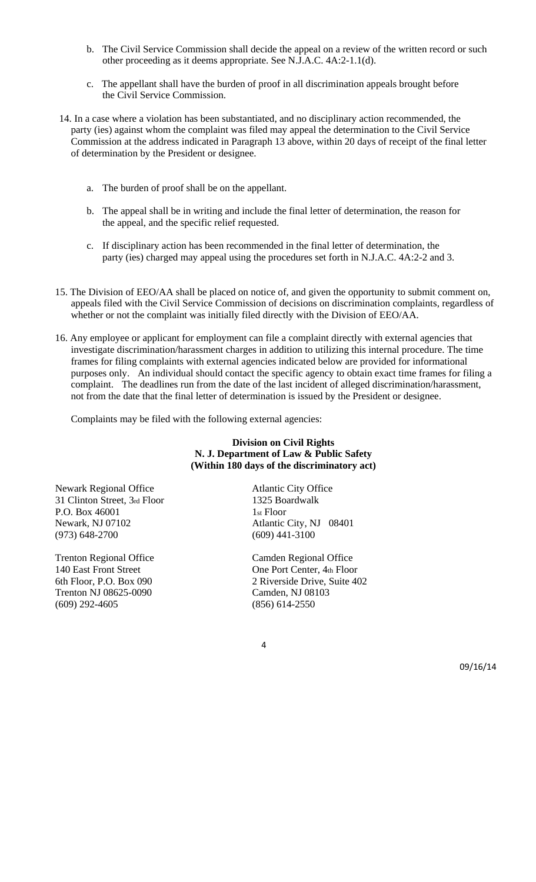- b. The Civil Service Commission shall decide the appeal on a review of the written record or such other proceeding as it deems appropriate. See N.J.A.C. 4A:2-1.1(d).
- c. The appellant shall have the burden of proof in all discrimination appeals brought before the Civil Service Commission.
- 14. In a case where a violation has been substantiated, and no disciplinary action recommended, the party (ies) against whom the complaint was filed may appeal the determination to the Civil Service Commission at the address indicated in Paragraph 13 above, within 20 days of receipt of the final letter of determination by the President or designee.
	- a. The burden of proof shall be on the appellant.
	- b. The appeal shall be in writing and include the final letter of determination, the reason for the appeal, and the specific relief requested.
	- c. If disciplinary action has been recommended in the final letter of determination, the party (ies) charged may appeal using the procedures set forth in N.J.A.C. 4A:2-2 and 3.
- 15. The Division of EEO/AA shall be placed on notice of, and given the opportunity to submit comment on, appeals filed with the Civil Service Commission of decisions on discrimination complaints, regardless of whether or not the complaint was initially filed directly with the Division of EEO/AA.
- 16. Any employee or applicant for employment can file a complaint directly with external agencies that investigate discrimination/harassment charges in addition to utilizing this internal procedure. The time frames for filing complaints with external agencies indicated below are provided for informational purposes only. An individual should contact the specific agency to obtain exact time frames for filing a complaint. The deadlines run from the date of the last incident of alleged discrimination/harassment, not from the date that the final letter of determination is issued by the President or designee.

Complaints may be filed with the following external agencies:

## **Division on Civil Rights N. J. Department of Law & Public Safety (Within 180 days of the discriminatory act)**

Newark Regional Office Atlantic City Office 31 Clinton Street, 3rd Floor 1325 Boardwalk P.O. Box  $46001$  1st Floor Newark, NJ 07102 Atlantic City, NJ 08401 (973) 648-2700 (609) 441-3100

Trenton NJ 08625-0090 (609) 292-4605 (856) 614-2550

Trenton Regional Office Camden Regional Office 140 East Front Street **One Port Center**, 4th Floor 6th Floor, P.O. Box 090<br>
Trenton NJ 08625-0090<br>
Camden, NJ 08103

4